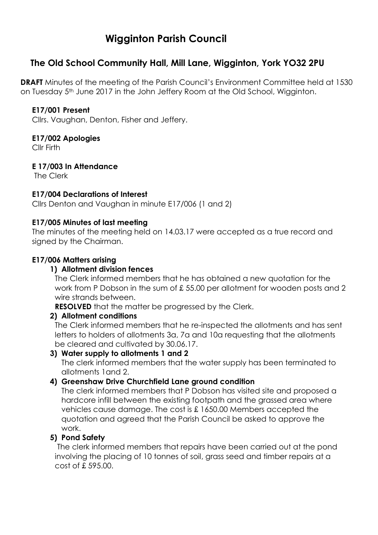# **Wigginton Parish Council**

# **The Old School Community Hall, Mill Lane, Wigginton, York YO32 2PU**

**DRAFT** Minutes of the meeting of the Parish Council's Environment Committee held at 1530 on Tuesday 5th June 2017 in the John Jeffery Room at the Old School, Wigginton.

#### **E17/001 Present**

Cllrs. Vaughan, Denton, Fisher and Jeffery.

#### **E17/002 Apologies**

Cllr Firth

# **E 17/003 In Attendance**

The Clerk

# **E17/004 Declarations of Interest**

Cllrs Denton and Vaughan in minute E17/006 (1 and 2)

#### **E17/005 Minutes of last meeting**

The minutes of the meeting held on 14.03.17 were accepted as a true record and signed by the Chairman.

# **E17/006 Matters arising**

#### **1) Allotment division fences**

The Clerk informed members that he has obtained a new quotation for the work from P Dobson in the sum of £ 55.00 per allotment for wooden posts and 2 wire strands between.

**RESOLVED** that the matter be progressed by the Clerk.

#### **2) Allotment conditions**

The Clerk informed members that he re-inspected the allotments and has sent letters to holders of allotments 3a, 7a and 10a requesting that the allotments be cleared and cultivated by 30.06.17.

#### **3) Water supply to allotments 1 and 2**

The clerk informed members that the water supply has been terminated to allotments 1and 2.

#### **4) Greenshaw Drive Churchfield Lane ground condition**

The clerk informed members that P Dobson has visited site and proposed a hardcore infill between the existing footpath and the grassed area where vehicles cause damage. The cost is £ 1650.00 Members accepted the quotation and agreed that the Parish Council be asked to approve the work.

#### **5) Pond Safety**

The clerk informed members that repairs have been carried out at the pond involving the placing of 10 tonnes of soil, grass seed and timber repairs at a cost of £ 595.00.